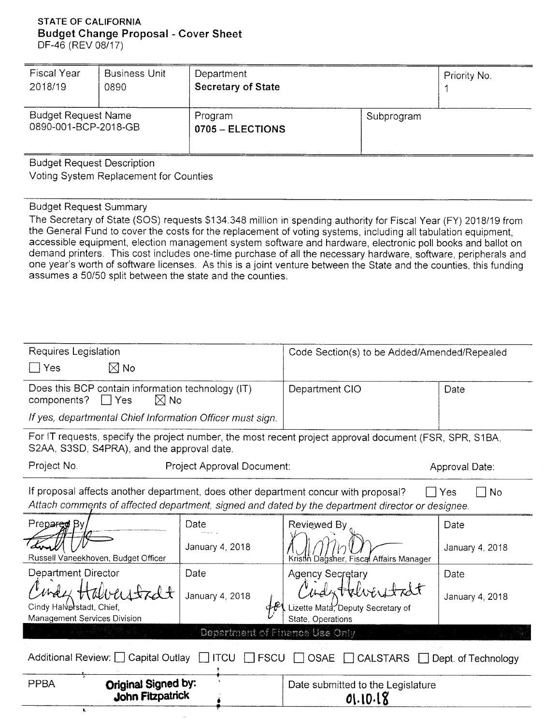### **STATE OF CALIFORNIA Budget Change Proposal - Cover Sheet**  DF-46 (REV 08/17)

| <b>Fiscal Year</b>                                 | <b>Business Unit</b> | Department                  |            | Priority No. |  |
|----------------------------------------------------|----------------------|-----------------------------|------------|--------------|--|
| 2018/19                                            | 0890                 | <b>Secretary of State</b>   |            |              |  |
| <b>Budget Request Name</b><br>0890-001-BCP-2018-GB |                      | Program<br>0705 - ELECTIONS | Subprogram |              |  |

Budget Request Description

Voting System Replacement for Counties

# Budget Request Summary

The Secretary of State (SOS) requests \$134,348 million in spending authority for Fiscal Year (FY) 2018/19 from the General Fund to cover the costs for the replacement of voting systems, including all tabulation equipment, accessible equipment, election management system software and hardware, electronic poll books and ballot on demand printers. This cost includes one-time purchase of all the necessary hardware, software, peripherals and one year's worth of software licenses. As this is a joint venture between the State and the counties, this funding assumes a 50/50 split between the state and the counties.

| Requires Legislation                                                                                                                                                                                 |                                | Code Section(s) to be Added/Amended/Repealed                          |                 |  |  |  |
|------------------------------------------------------------------------------------------------------------------------------------------------------------------------------------------------------|--------------------------------|-----------------------------------------------------------------------|-----------------|--|--|--|
| $\boxtimes$ No<br>$\sqsupset$ Yes                                                                                                                                                                    |                                |                                                                       |                 |  |  |  |
| Does this BCP contain information technology (IT)<br>components?<br>$\Box$ Yes<br>$\boxtimes$ No                                                                                                     |                                | Department CIO                                                        | Date            |  |  |  |
| If yes, departmental Chief Information Officer must sign.                                                                                                                                            |                                |                                                                       |                 |  |  |  |
| For IT requests, specify the project number, the most recent project approval document (FSR, SPR, S1BA,<br>S2AA, S3SD, S4PRA), and the approval date.                                                |                                |                                                                       |                 |  |  |  |
| Project No.<br>Project Approval Document:                                                                                                                                                            | Approval Date:                 |                                                                       |                 |  |  |  |
| If proposal affects another department, does other department concur with proposal?<br>No<br>Yes<br>Attach comments of affected department, signed and dated by the department director or designee. |                                |                                                                       |                 |  |  |  |
| Prepared By                                                                                                                                                                                          | Date                           | Reviewed By                                                           | Date            |  |  |  |
| Russell Vaneekhoven, Budget Officer                                                                                                                                                                  | January 4, 2018                | Kristin Dagsher, Fiscal Affairs Manager                               | January 4, 2018 |  |  |  |
| <b>Department Director</b>                                                                                                                                                                           | Date                           | <b>Agency Secretary</b>                                               | Date            |  |  |  |
| Cindy Halverstadt, Chief,<br>Management Services Division                                                                                                                                            | January 4, 2018                | Indutteller<br>Lizette Mata, Deputy Secretary of<br>State, Operations | January 4, 2018 |  |  |  |
|                                                                                                                                                                                                      | Department of Finance Use Only |                                                                       |                 |  |  |  |
| Additional Review: C Capital Outlay C ITCU C FSCU C OSAE<br>CALSTARS <b>D</b><br>Dept. of Technology                                                                                                 |                                |                                                                       |                 |  |  |  |
| Original Signed by:<br><b>PPBA</b><br><b>John Fitzpatrick</b>                                                                                                                                        |                                | Date submitted to the Legislature<br>01.10.18                         |                 |  |  |  |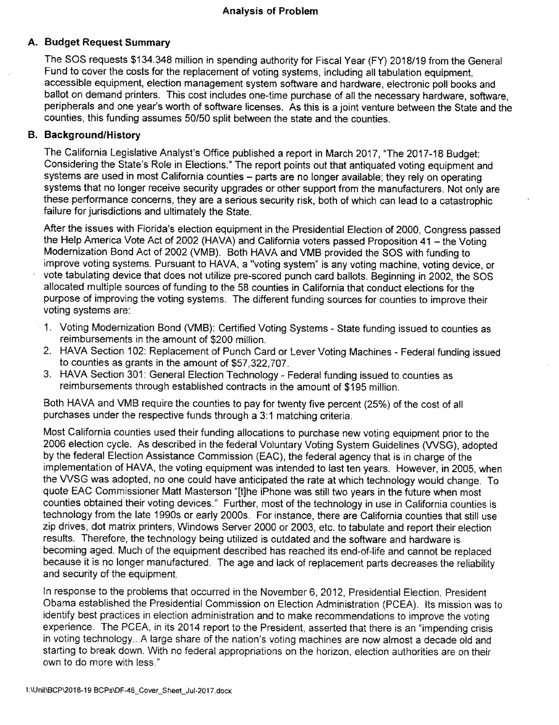# **A. Budget Request Summary**

The SOS requests \$134,348 million in spending authority for Fiscal Year (FY) 2018/19 from the General Fund to cover the costs for the replacement of voting systems, including ail tabulation equipment, accessible equipment, election management system software and hardware, electronic poll books and ballot on demand printers. This cost includes one-time purchase of all the necessary hardware, software, peripherals and one year's worth of software licenses. As this is a joint venture between the State and the counties, this funding assumes 50/50 split between the state and the counties.

# **B. Background/History**

The California Legislative Analyst's Office published a report in March 2017, "The 2017-18 Budget: Considering the State's Role in Elections." The report points out that antiquated voting equipment and systems are used in most California counties - parts are no longer available; they rely on operating systems that no longer receive security upgrades or other support from the manufacturers. Not only are these performance concerns, they are a serious security risk, both of which can lead to a catastrophic failure for jurisdictions and ultimately the State.

After the issues with Fiorida's election equipment in the Presidential Election of 2000, Congress passed the Help America Vote Act of 2002 (HAVA) and California voters passed Proposition 41 - the Voting Modernization Bond Act of 2002 (VMB). Both HAVA and VMS provided the SOS with funding to improve voting systems. Pursuant to HAVA, a "voting system" is any voting machine, voting device, or vote tabulating device that does not utilize pre-scored punch card ballots. Beginning in 2002, the SOS allocated multiple sources of funding to the 58 counties in California that conduct elections for the purpose of improving the voting systems. The different funding sources for counties to improve their voting systems are:

- 1. Voting Modernization Bond (VMB): Certified Voting Systems State funding issued to counties as reimbursements in the amount of \$200 million.
- 2. HAVA Section 102: Replacement of Punch Card or Lever Voting Machines Federal funding issued to counties as grants in the amount of \$57,322,707.
- 3. HAVA Section 301: General Election Technology Federal funding issued to counties as reimbursements through established contracts in the amount of \$195 million.

Both HAVA and VMB require the counties to pay for twenty five percent (25%) of the cost of all purchases under the respective funds through a 3:1 matching criteria.

Most California counties used their funding allocations to purchase new voting equipment prior to the 2006 election cycle. As described in the federal Voluntary Voting System Guidelines (WSG), adopted by the federal Election Assistance Commission (EAC), the federal agency that is in charge of the implementation of HAVA, the voting equipment was intended to last ten years. However, in 2005, when the VVSG was adopted, no one could have anticipated the rate at which technology would change. To quote EAC Commissioner Matt Masterson "[t]he iPhone was still two years in the future when most counties obtained their voting devices." Further, most of the technology in use in California counties is technology from the late 1990s or early 2000s. For instance, there are California counties that still use zip drives, dot matrix printers, Windows Server 2000 or 2003, etc. to tabulate and report their election results. Therefore, the technology being utilized is outdated and the software and hardware is becoming aged. Much of the equipment described has reached its end-of-life and cannot be replaced because it is no longer manufactured. The age and lack of replacement parts decreases the reliability and security of the equipment.

In response to the problems that occurred in the November 6, 2012, Presidential Election, President Obama established the Presidential Commission on Election Administration (PCEA). Its mission was to identify best practices in election administration and to make recommendations to improve the voting experience. The PCEA, in its 2014 report to the President, asserted that there is an "impending crisis in voting technology...A large share of the nation's voting machines are now almost a decade old and starting to break down. With no federal appropriations on the horizon, election authorities are on their own to do more with less."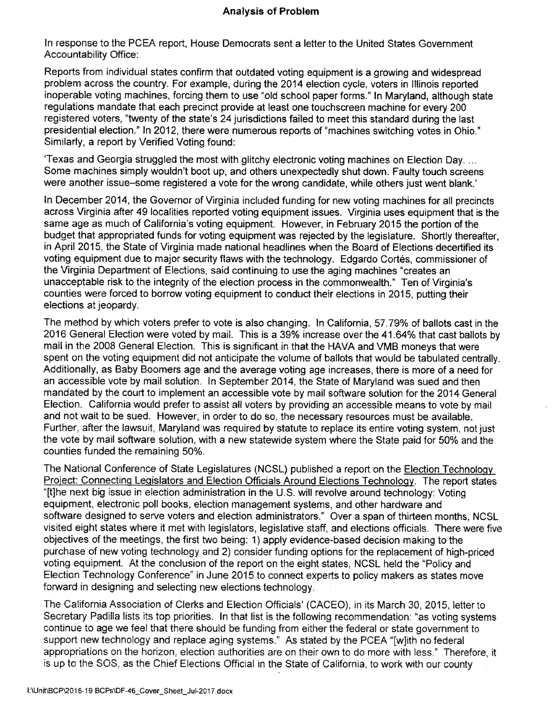In response to the PCEA report. House Democrats sent a letter to the United States Government Accountability Office:

Reports from individual states confirm that outdated voting equipment is a growing and widespread problem across the country. For example, during the 2014 election cycle, voters in Illinois reported inoperable voting machines, forcing them to use "old school paper forms." In Maryland, although state regulations mandate that each precinct provide at least one touchscreen machine for every 200 registered voters, "twenty of the state's 24 jurisdictions failed to meet this standard during the last presidential election." In 2012, there were numerous reports of "machines switching votes in Ohio." Similarly, a report by Verified Voting found:

Texas and Georgia struggled the most with glitchy electronic voting machines on Election Day. ... Some machines simply wouldn't boot up, and others unexpectedly shut down. Faulty touch screens were another issue-some registered a vote for the wrong candidate, while others just went blank.'

In December 2014, the Governor of Virginia included funding for new voting machines for alt precincts across Virginia after 49 localities reported voting equipment issues. Virginia uses equipment that is the same age as much of California's voting equipment. However, in February 2015 the portion of the budget that appropriated funds for voting equipment was rejected by the legislature. Shortly thereafter, in April 2015, the State of Virginia made national headlines when the Board of Elections decertified its voting equipment due to major security flaws with the technology. Edgardo Cortés, commissioner of the Virginia Department of Elections, said continuing to use the aging machines "creates an unacceptable risk to the integrity of the election process in the commonwealth." Ten of Virginia's counties were forced to borrow voting equipment to conduct their elections in 2015, putting their elections at jeopardy.

The method by which voters prefer to vote is also changing. In California, 57.79% of ballots cast in the 2016 General Election were voted by mail. This is a 39% increase over the 41.64% that cast ballots by mail in the 2008 General Election. This is significant in that the HAVA and VMB moneys that were spent on the voting equipment did not anticipate the volume of ballots that would be tabulated centrally. Additionally, as Baby Boomers age and the average voting age increases, there is more of a need for an accessible vote by mail solution. In September 2014, the State of Maryland was sued and then mandated by the court to implement an accessible vote by mail software solution for the 2014 General Election. California would prefer to assist all voters by providing an accessible means to vote by mail and not wait to be sued. However, in order to do so, the necessary resources must be available. Further, after the lawsuit, Maryland was required by statute to replace its entire voting system, not just the vote by mail software solution, with a new statewide system where the State paid for 50% and the counties funded the remaining 50%,

The National Conference of State Legislatures (NCSL) published a report on the Election Technology Project: Connecting Legislators and Election Officials Around Elections Technology. The report states "[t]he next big issue in election administration in the U.S. will revolve around technology: Voting equipment, electronic poll books, election management systems, and other hardware and software designed to serve voters and election administrators." Over a span of thirteen months, NCSL visited eight states where it met with legislators, legislative staff, and elections officials. There were five objectives of the meetings, the first two being: 1) apply evidence-based decision making to the purchase of new voting technology and 2) consider funding options for the replacement of high-priced voting equipment. At the conclusion of the report on the eight states, NCSL held the "Policy and Election Technology Conference" in June 2015 to connect experts to policy makers as states move forward in designing and selecting new elections technology.

The California Association of Clerks and Election Officials' (CACEO), in its March 30, 2015, letter to Secretary Padilia lists its top priorities. In that list is the following recommendation: "as voting systems continue to age we feel that there should be funding from either the federal or state government to support new technology and replace aging systems." As stated by the PCEA "[wjith no federal appropriations on the horizon, election authorities are on their own to do more with less " Therefore, it is up to the SOS, as the Chief Elections Official in the State of California, to work with our county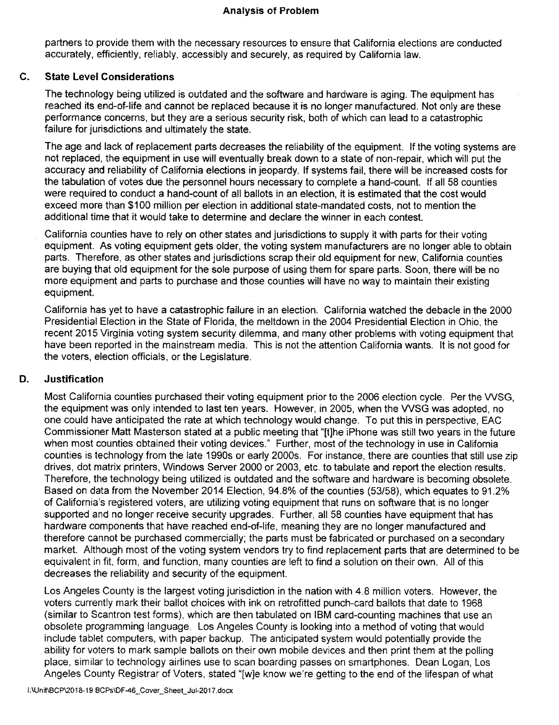## **Analysis of Problem**

partners to provide them with the necessary resources to ensure that California elections are conducted accurately, efficiently, reliably, accessibly and securely, as required by California law.

# **C . State Level Considerations**

The technology being utilized is outdated and the software and hardware is aging. The equipment has reached its end-of-llfe and cannot be replaced because it is no longer manufactured. Not only are these performance concerns, but they are a serious security risk, both of which can lead to a catastrophic failure for jurisdictions and ultimately the state.

The age and lack of replacement parts decreases the reliability of the equipment. If the voting systems are not replaced, the equipment in use will eventually break down to a state of non-repair, which will put the accuracy and reliability of California elections in jeopardy. If systems fail, there will be increased costs for the tabulation of votes due the personnel hours necessary to complete a hand-count. If all 58 counties were required to conduct a hand-count of all ballots in an election, it is estimated that the cost would exceed more than \$100 million per election in additional state-mandated costs, not to mention the additional time that it would take to determine and declare the winner in each contest.

California counties have to rely on other states and jurisdictions to supply it with parts for their voting equipment. As voting equipment gets older, the voting system manufacturers are no longer able to obtain parts. Therefore, as other states and jurisdictions scrap their old equipment for new, California counties are buying that old equipment for the sole purpose of using them for spare parts. Soon, there will be no more equipment and parts to purchase and those counties will have no way to maintain their existing equipment.

California has yet to have a catastrophic failure in an election. California watched the debacle in the 2000 Presidential Election in the State of Florida, the meltdown in the 2004 Presidential Election in Ohio, the recent 2015 Virginia voting system security dilemma, and many other problems with voting equipment that have been reported in the mainstream media. This is not the attention California wants. It is not good for the voters, election officials, or the Legislature.

# **D. Justification**

Most California counties purchased their voting equipment prior to the 2006 election cycle. Per the VVSG, the equipment was only intended to last ten years. However, in 2005, when the VVSG was adopted, no one could have anticipated the rate at which technology would change. To put this in perspective, EAC Commissioner Matt Masterson stated at a public meeting that "[t]he iPhone was still two years in the future when most counties obtained their voting devices." Further, most of the technology in use in California counties is technology from the late 1990s or early 2000s. For instance, there are counties that still use zip drives, dot matrix printers, Windows Server 2000 or 2003, etc. to tabulate and report the election results. Therefore, the technology being utilized is outdated and the software and hardware is becoming obsolete. Based on data from the November 2014 Election, 94.8% of the counties (53/58), which equates to 91.2% of California's registered voters, are utilizing voting equipment that runs on software that is no longer supported and no longer receive security upgrades. Further, all 58 counties have equipment that has hardware components that have reached end-of-life, meaning they are no longer manufactured and therefore cannot be purchased commercially; the parts must be fabricated or purchased on a secondary market. Although most of the voting system vendors try to find replacement parts that are determined to be equivalent in fit, form, and function, many counties are left to find a solution on their own. All of this decreases the reliability and security of the equipment.

Los Angeles County is the largest voting jurisdiction in the nation with 4.8 million voters. However, the voters currently mark their ballot choices with ink on retrofitted punch-card ballots that date to 1968 (similar to Scantron test forms), which are then tabulated on IBM card-counting machines that use an obsolete programming language. Los Angeles County is looking into a method of voting that would include tablet computers, with paper backup. The anticipated system would potentially provide the ability for voters to mark sample ballots on their own mobile devices and then print them at the polling place, similar to technology airlines use to scan boarding passes on smartphones. Dean Logan, Los Angeles County Registrar of Voters, stated "[w]e know we're getting to the end of the lifespan of what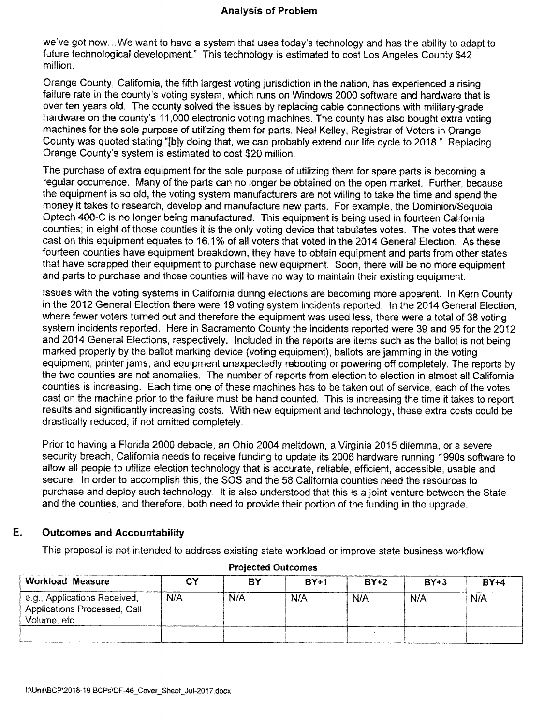we've got now... We want to have a system that uses today's technology and has the ability to adapt to future technological development." This technology is estimated to cost Los Angeles County \$42 million.

Orange County, California, the fifth largest voting jurisdiction in the nation, has experienced a rising failure rate in the county's voting system, which runs on Windows 2000 software and hardware that is over ten years old. The county solved the issues by replacing cable connections with military-grade hardware on the county's 11,000 electronic voting machines. The county has also bought extra voting machines for the sole purpose of utilizing them for parts. Neal Kelley, Registrar of Voters in Orange County was quoted stating "[b]y doing that, we can probably extend our life cycle to 2018." Replacing Orange County's system is estimated to cost \$20 million.

The purchase of extra equipment for the sole purpose of utilizing them for spare parts is becoming a regular occurrence. Many of the parts can no longer be obtained on the open market. Further, because the equipment is so old, the voting system manufacturers are not willing to take the time and spend the money it takes to research, develop and manufacture new parts. For example, the Dominion/Sequoia Optech 400-C is no longer being manufactured. This equipment is being used in fourteen California counties; in eight of those counties it is the only voting device that tabulates votes. The votes that were cast on this equipment equates to 16.1% of all voters that voted in the 2014 General Election. As these fourteen counties have equipment breakdown, they have to obtain equipment and parts from other states that have scrapped their equipment to purchase new equipment. Soon, there will be no more equipment and parts to purchase and those counties will have no way to maintain their existing equipment.

Issues with the voting systems in California during elections are becoming more apparent. In Kern County in the 2012 General Election there were 19 voting system incidents reported. In the 2014 General Election, where fewer voters turned out and therefore the equipment was used less, there were a total of 38 voting system incidents reported. Here in Sacramento County the incidents reported were 39 and 95 for the 2012 and 2014 General Elections, respectively. Included in the reports are items such as the ballot is not being marked properly by the ballot marking device (voting equipment), ballots are jamming in the voting equipment, printer jams, and equipment unexpectedly rebooting or powering off completely. The reports by the two counties are not anomalies. The number of reports from election to election in almost all California counties is increasing. Each time one of these machines has to be taken out of service, each of the votes cast on the machine prior to the failure must be hand counted. This is increasing the time it takes to report results and significantly increasing costs. With new equipment and technology, these extra costs could be drastically reduced, if not omitted completely.

Prior to having a Florida 2000 debacle, an Ohio 2004 meltdown, a Virginia 2015 dilemma, or a severe security breach, California needs to receive funding to update its 2006 hardware running 1990s software to allow all people to utilize election technology that is accurate, reliable, efficient, accessible, usable and secure. In order to accomplish this, the SOS and the 58 California counties need the resources to purchase and deploy such technology. It is also understood that this is a joint venture between the State and the counties, and therefore, both need to provide their portion of the funding in the upgrade.

### **E. Outcomes and Accountability**

This proposal is not intended to address existing state workload or improve state business workflow.

| <b>Workload Measure</b>                                                      | C٢  | ΒY  | $BY+1$ | $BY+2$     | $BY+3$ | <b>BY+4</b> |
|------------------------------------------------------------------------------|-----|-----|--------|------------|--------|-------------|
| e.g., Applications Received,<br>Applications Processed, Call<br>Volume, etc. | N/A | N/A | N/A    | <b>N/A</b> | N/A    | N/A         |
|                                                                              |     |     |        |            |        |             |

### **Projected Outcomes**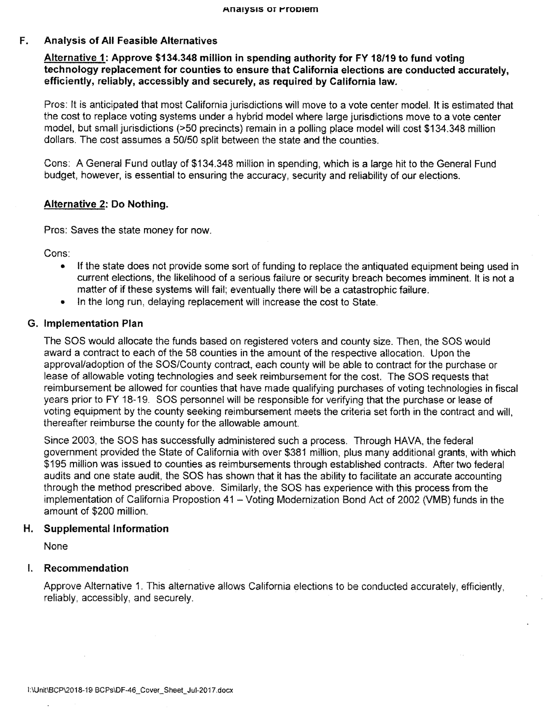# **F. Analysis of All Feasible Alternatives**

**Alternative 1: Approve \$134,348 million in spending authority for FY 18/19 to fund voting technology replacement for counties to ensure that California elections are conducted accurately, efficiently, reliably, accessibly and securely, as required by California law.** 

Pros: It is anticipated that most California jurisdictions will move to a vote center model. It is estimated that the cost to replace voting systems under a hybrid model where large jurisdictions move to a vote center model, but small jurisdictions (>50 precincts) remain in a polling place model will cost \$134,348 million dollars. The cost assumes a 50/50 split between the state and the counties.

Cons: A General Fund outlay of \$134,348 million in spending, which is a large hit to the General Fund budget, however, is essential to ensuring the accuracy, security and reliability of our elections.

# **Alternative 2: Do Nothing.**

Pros: Saves the state money for now.

Cons:

- If the state does not provide some sort of funding to replace the antiquated equipment being used in current elections, the likelihood of a serious failure or security breach becomes imminent. It is not a matter of if these systems will fail; eventually there will be a catastrophic failure.
- In the long run, delaying replacement will increase the cost to State,

### **G. Implementation Plan**

The SOS would allocate the funds based on registered voters and county size. Then, the SOS would award a contract to each of the 58 counties in the amount of the respective allocation. Upon the approval/adoption of the SOS/County contract, each county will be able to contract for the purchase or lease of allowable voting technologies and seek reimbursement for the cost. The SOS requests that reimbursement be allowed for counties that have made qualifying purchases of voting technologies in fiscal years prior to FY 18-19. SOS personnel will be responsible for verifying that the purchase or lease of voting equipment by the county seeking reimbursement meets the criteria set forth in the contract and will, thereafter reimburse the county for the allowable amount.

Since 2003, the SOS has successfully administered such a process. Through HAVA, the federal government provided the State of California with over \$381 million, plus many additional grants, with which \$195 million was issued to counties as reimbursements through established contracts. After two federal audits and one state audit, the SOS has shown that it has the ability to facilitate an accurate accounting through the method prescribed above. Similarly, the SOS has experience with this process from the implementation of California Propostion 41 - Voting Modernization Bond Act of 2002 (VMB) funds in the amount of \$200 million.

# **H. Supplemental Information**

None

# **I. Recommendation**

Approve Alternative 1. This alternative allows California elections to be conducted accurately, efficiently, reliably, accessibly, and securely.